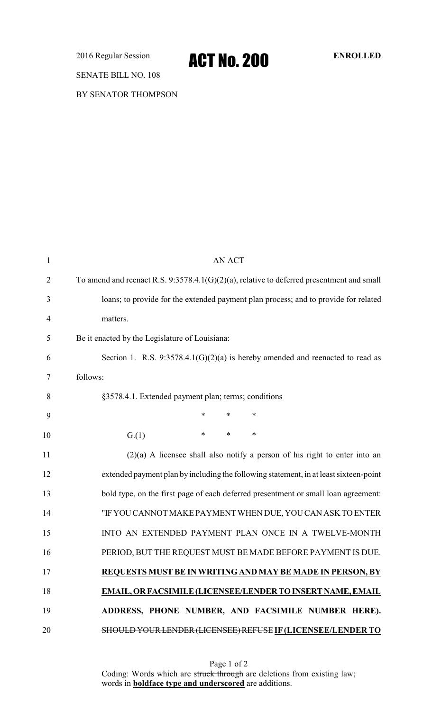2016 Regular Session **ACT NO. 200** ENROLLED

SENATE BILL NO. 108

BY SENATOR THOMPSON

| $\mathbf{1}$   | <b>AN ACT</b>                                                                             |  |  |  |  |
|----------------|-------------------------------------------------------------------------------------------|--|--|--|--|
| $\overline{2}$ | To amend and reenact R.S. 9:3578.4.1(G)(2)(a), relative to deferred presentment and small |  |  |  |  |
| 3              | loans; to provide for the extended payment plan process; and to provide for related       |  |  |  |  |
| $\overline{4}$ | matters.                                                                                  |  |  |  |  |
| 5              | Be it enacted by the Legislature of Louisiana:                                            |  |  |  |  |
| 6              | Section 1. R.S. 9:3578.4.1(G)(2)(a) is hereby amended and reenacted to read as            |  |  |  |  |
| 7              | follows:                                                                                  |  |  |  |  |
| 8              | §3578.4.1. Extended payment plan; terms; conditions                                       |  |  |  |  |
| 9              | $\ast$<br>*<br>∗                                                                          |  |  |  |  |
| 10             | $\ast$<br>*<br>∗<br>G(1)                                                                  |  |  |  |  |
| 11             | $(2)(a)$ A licensee shall also notify a person of his right to enter into an              |  |  |  |  |
| 12             | extended payment plan by including the following statement, in at least sixteen-point     |  |  |  |  |
| 13             | bold type, on the first page of each deferred presentment or small loan agreement:        |  |  |  |  |
| 14             | "IF YOU CANNOT MAKE PAYMENT WHEN DUE, YOU CAN ASK TO ENTER                                |  |  |  |  |
| 15             | INTO AN EXTENDED PAYMENT PLAN ONCE IN A TWELVE-MONTH                                      |  |  |  |  |
| 16             | PERIOD, BUT THE REQUEST MUST BE MADE BEFORE PAYMENT IS DUE.                               |  |  |  |  |
| 17             | REQUESTS MUST BE IN WRITING AND MAY BE MADE IN PERSON, BY                                 |  |  |  |  |
| 18             | EMAIL, OR FACSIMILE (LICENSEE/LENDER TO INSERT NAME, EMAIL                                |  |  |  |  |
| 19             | ADDRESS, PHONE NUMBER, AND FACSIMILE NUMBER HERE).                                        |  |  |  |  |
| 20             | SHOULD YOUR LENDER (LICENSEE) REFUSE IF (LICENSEE/LENDER TO                               |  |  |  |  |

Page 1 of 2 Coding: Words which are struck through are deletions from existing law; words in **boldface type and underscored** are additions.